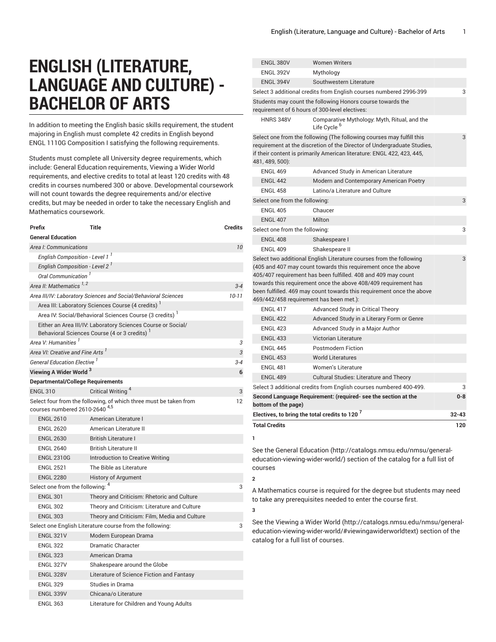# **ENGLISH (LITERATURE, LANGUAGE AND CULTURE) - BACHELOR OF ARTS**

In addition to meeting the English basic skills requirement, the student majoring in English must complete 42 credits in English beyond ENGL 1110G Composition I satisfying the following requirements.

Students must complete all University degree requirements, which include: General Education requirements, Viewing a Wider World requirements, and elective credits to total at least 120 credits with 48 credits in courses numbered 300 or above. Developmental coursework will not count towards the degree requirements and/or elective credits, but may be needed in order to take the necessary English and Mathematics coursework.

|                                                                                                                | Prefix                                       | Title                                                                                                       | <b>Credits</b> |  |
|----------------------------------------------------------------------------------------------------------------|----------------------------------------------|-------------------------------------------------------------------------------------------------------------|----------------|--|
|                                                                                                                | <b>General Education</b>                     |                                                                                                             |                |  |
|                                                                                                                | Area I: Communications                       |                                                                                                             |                |  |
|                                                                                                                | English Composition - Level 1 <sup>1</sup>   |                                                                                                             |                |  |
|                                                                                                                | English Composition - Level 2 <sup>1</sup>   |                                                                                                             |                |  |
|                                                                                                                | Oral Communication <sup>1</sup>              |                                                                                                             |                |  |
|                                                                                                                | Area II: Mathematics $1, 2$                  |                                                                                                             | $3 - 4$        |  |
|                                                                                                                |                                              | Area III/IV: Laboratory Sciences and Social/Behavioral Sciences                                             | $10 - 11$      |  |
|                                                                                                                |                                              | Area III: Laboratory Sciences Course (4 credits) <sup>1</sup>                                               |                |  |
|                                                                                                                |                                              | Area IV: Social/Behavioral Sciences Course (3 credits) <sup>1</sup>                                         |                |  |
|                                                                                                                |                                              | Either an Area III/IV: Laboratory Sciences Course or Social/<br>Behavioral Sciences Course (4 or 3 credits) |                |  |
|                                                                                                                | Area V: Humanities <sup>1</sup>              |                                                                                                             | 3              |  |
|                                                                                                                | Area VI: Creative and Fine Arts <sup>1</sup> |                                                                                                             | 3              |  |
|                                                                                                                | General Education Elective <sup>1</sup>      |                                                                                                             | $3 - 4$        |  |
|                                                                                                                | Viewing A Wider World <sup>3</sup>           |                                                                                                             | 6              |  |
|                                                                                                                | <b>Departmental/College Requirements</b>     |                                                                                                             |                |  |
|                                                                                                                | <b>ENGL 310</b>                              | Critical Writing <sup>4</sup>                                                                               | 3              |  |
| Select four from the following, of which three must be taken from<br>courses numbered 2610-2640 <sup>4,5</sup> |                                              |                                                                                                             | 12             |  |
|                                                                                                                | <b>ENGL 2610</b>                             | American Literature I                                                                                       |                |  |
|                                                                                                                | <b>ENGL 2620</b>                             | American Literature II                                                                                      |                |  |
|                                                                                                                | <b>ENGL 2630</b>                             | <b>British Literature I</b>                                                                                 |                |  |
|                                                                                                                | <b>ENGL 2640</b>                             | <b>British Literature II</b>                                                                                |                |  |
|                                                                                                                | <b>ENGL 2310G</b>                            | Introduction to Creative Writing                                                                            |                |  |
|                                                                                                                | <b>ENGL 2521</b>                             | The Bible as Literature                                                                                     |                |  |
|                                                                                                                | <b>ENGL 2280</b>                             | <b>History of Argument</b>                                                                                  |                |  |
|                                                                                                                | Select one from the following: 4             |                                                                                                             | 3              |  |
|                                                                                                                | <b>ENGL 301</b>                              | Theory and Criticism: Rhetoric and Culture                                                                  |                |  |
|                                                                                                                | <b>ENGL 302</b>                              | Theory and Criticism: Literature and Culture                                                                |                |  |
|                                                                                                                | <b>ENGL 303</b>                              | Theory and Criticism: Film, Media and Culture                                                               |                |  |
|                                                                                                                |                                              | Select one English Literature course from the following:                                                    | 3              |  |
|                                                                                                                | <b>ENGL 321V</b>                             | Modern European Drama                                                                                       |                |  |
|                                                                                                                | <b>ENGL 322</b>                              | <b>Dramatic Character</b>                                                                                   |                |  |
|                                                                                                                | <b>ENGL 323</b>                              | American Drama                                                                                              |                |  |
|                                                                                                                | <b>ENGL 327V</b>                             | Shakespeare around the Globe                                                                                |                |  |
|                                                                                                                | <b>ENGL 328V</b>                             | Literature of Science Fiction and Fantasy                                                                   |                |  |
|                                                                                                                | <b>ENGL 329</b>                              | Studies in Drama                                                                                            |                |  |
|                                                                                                                | <b>ENGL 339V</b>                             | Chicana/o Literature                                                                                        |                |  |
|                                                                                                                | <b>ENGL 363</b>                              | Literature for Children and Young Adults                                                                    |                |  |

| <b>ENGL 380V</b>                                                                                                                                                                                                                                                                                                                                                                                   | <b>Women Writers</b>                                                    |     |  |
|----------------------------------------------------------------------------------------------------------------------------------------------------------------------------------------------------------------------------------------------------------------------------------------------------------------------------------------------------------------------------------------------------|-------------------------------------------------------------------------|-----|--|
| <b>ENGL 392V</b>                                                                                                                                                                                                                                                                                                                                                                                   | Mythology                                                               |     |  |
| <b>ENGL 394V</b>                                                                                                                                                                                                                                                                                                                                                                                   | Southwestern Literature                                                 |     |  |
|                                                                                                                                                                                                                                                                                                                                                                                                    | Select 3 additional credits from English courses numbered 2996-399      | 3   |  |
|                                                                                                                                                                                                                                                                                                                                                                                                    | Students may count the following Honors course towards the              |     |  |
| requirement of 6 hours of 300-level electives:                                                                                                                                                                                                                                                                                                                                                     |                                                                         |     |  |
| HNRS 348V                                                                                                                                                                                                                                                                                                                                                                                          | Comparative Mythology: Myth, Ritual, and the<br>Life Cvcle <sup>b</sup> |     |  |
| Select one from the following (The following courses may fulfill this<br>requirement at the discretion of the Director of Undergraduate Studies,<br>if their content is primarily American literature: ENGL 422, 423, 445,<br>481, 489, 500):                                                                                                                                                      |                                                                         |     |  |
| <b>ENGL 469</b>                                                                                                                                                                                                                                                                                                                                                                                    | Advanced Study in American Literature                                   |     |  |
| <b>ENGL 442</b>                                                                                                                                                                                                                                                                                                                                                                                    | Modern and Contemporary American Poetry                                 |     |  |
| <b>ENGL 458</b>                                                                                                                                                                                                                                                                                                                                                                                    | Latino/a Literature and Culture                                         |     |  |
| Select one from the following:                                                                                                                                                                                                                                                                                                                                                                     |                                                                         | 3   |  |
| <b>ENGL 405</b>                                                                                                                                                                                                                                                                                                                                                                                    | Chaucer                                                                 |     |  |
| <b>ENGL 407</b>                                                                                                                                                                                                                                                                                                                                                                                    | Milton                                                                  |     |  |
| Select one from the following:<br>3                                                                                                                                                                                                                                                                                                                                                                |                                                                         |     |  |
| <b>ENGL 408</b>                                                                                                                                                                                                                                                                                                                                                                                    | Shakespeare I                                                           |     |  |
| <b>ENGL 409</b>                                                                                                                                                                                                                                                                                                                                                                                    | Shakespeare II                                                          |     |  |
| Select two additional English Literature courses from the following<br>3<br>(405 and 407 may count towards this requirement once the above<br>405/407 requirement has been fulfilled. 408 and 409 may count<br>towards this requirement once the above 408/409 requirement has<br>been fulfilled. 469 may count towards this requirement once the above<br>469/442/458 requirement has been met.): |                                                                         |     |  |
| <b>ENGL 417</b>                                                                                                                                                                                                                                                                                                                                                                                    | Advanced Study in Critical Theory                                       |     |  |
| <b>ENGL 422</b>                                                                                                                                                                                                                                                                                                                                                                                    | Advanced Study in a Literary Form or Genre                              |     |  |
| <b>ENGL 423</b>                                                                                                                                                                                                                                                                                                                                                                                    | Advanced Study in a Major Author                                        |     |  |
| <b>ENGL 433</b>                                                                                                                                                                                                                                                                                                                                                                                    | <b>Victorian Literature</b>                                             |     |  |
| <b>ENGL 445</b>                                                                                                                                                                                                                                                                                                                                                                                    | <b>Postmodern Fiction</b>                                               |     |  |
| <b>ENGL 453</b>                                                                                                                                                                                                                                                                                                                                                                                    | <b>World Literatures</b>                                                |     |  |
| <b>ENGL 481</b>                                                                                                                                                                                                                                                                                                                                                                                    | <b>Women's Literature</b>                                               |     |  |
| <b>ENGL 489</b>                                                                                                                                                                                                                                                                                                                                                                                    | <b>Cultural Studies: Literature and Theory</b>                          |     |  |
|                                                                                                                                                                                                                                                                                                                                                                                                    | Select 3 additional credits from English courses numbered 400-499.      | 3   |  |
| Second Language Requirement: (required- see the section at the<br>$0 - 8$<br>bottom of the page)                                                                                                                                                                                                                                                                                                   |                                                                         |     |  |
| Electives, to bring the total credits to 120 <sup>7</sup><br>$32 - 43$                                                                                                                                                                                                                                                                                                                             |                                                                         |     |  |
| <b>Total Credits</b>                                                                                                                                                                                                                                                                                                                                                                               |                                                                         | 120 |  |

**1** See the General [Education](http://catalogs.nmsu.edu/nmsu/general-education-viewing-wider-world/) ([http://catalogs.nmsu.edu/nmsu/general](http://catalogs.nmsu.edu/nmsu/general-education-viewing-wider-world/)[education-viewing-wider-world/\)](http://catalogs.nmsu.edu/nmsu/general-education-viewing-wider-world/) section of the catalog for a full list of courses

**2**

**3**

A Mathematics course is required for the degree but students may need to take any prerequisites needed to enter the course first.

See the [Viewing](http://catalogs.nmsu.edu/nmsu/general-education-viewing-wider-world/#viewingawiderworldtext) a Wider World [\(http://catalogs.nmsu.edu/nmsu/general](http://catalogs.nmsu.edu/nmsu/general-education-viewing-wider-world/#viewingawiderworldtext)[education-viewing-wider-world/#viewingawiderworldtext\)](http://catalogs.nmsu.edu/nmsu/general-education-viewing-wider-world/#viewingawiderworldtext) section of the catalog for a full list of courses.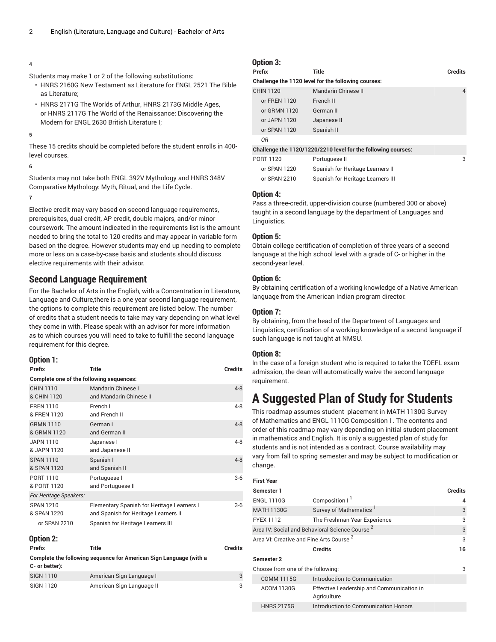### **4**

Students may make 1 or 2 of the following substitutions:

- [HNRS 2160G](/search/?P=HNRS%202160G) New Testament as Literature for [ENGL 2521](/search/?P=ENGL%202521) The Bible as Literature;
- [HNRS 2171G](/search/?P=HNRS%202171G) The Worlds of Arthur, [HNRS 2173G](/search/?P=HNRS%202173G) Middle Ages, or [HNRS 2117G](/search/?P=HNRS%202117G) The World of the Renaissance: Discovering the Modern for [ENGL 2630](/search/?P=ENGL%202630) British Literature I;

**5**

These 15 credits should be completed before the student enrolls in 400 level courses.

# **6**

Students may not take both ENGL 392V Mythology and HNRS 348V Comparative Mythology: Myth, Ritual, and the Life Cycle.

#### **7**

Elective credit may vary based on second language requirements, prerequisites, dual credit, AP credit, double majors, and/or minor coursework. The amount indicated in the requirements list is the amount needed to bring the total to 120 credits and may appear in variable form based on the degree. However students may end up needing to complete more or less on a case-by-case basis and students should discuss elective requirements with their advisor.

# **Second Language Requirement**

For the Bachelor of Arts in the English, with a Concentration in Literature, Language and Culture,there is a one year second language requirement, the options to complete this requirement are listed below. The number of credits that a student needs to take may vary depending on what level they come in with. Please speak with an advisor for more information as to which courses you will need to take to fulfill the second language requirement for this degree.

### **Option 1:**

| Prefix                                          | Title                                                                                                                   | Credits |
|-------------------------------------------------|-------------------------------------------------------------------------------------------------------------------------|---------|
| Complete one of the following sequences:        |                                                                                                                         |         |
| <b>CHIN 1110</b><br>& CHIN 1120                 | Mandarin Chinese I<br>and Mandarin Chinese II                                                                           | $4 - 8$ |
| <b>FREN 1110</b><br>& FREN 1120                 | French I<br>and French II                                                                                               | $4 - 8$ |
| <b>GRMN 1110</b><br>& GRMN 1120                 | German I<br>and German II                                                                                               | $4 - 8$ |
| JAPN 1110<br>& JAPN 1120                        | Japanese I<br>and Japanese II                                                                                           | $4 - 8$ |
| <b>SPAN 1110</b><br>& SPAN 1120                 | Spanish I<br>and Spanish II                                                                                             | $4 - 8$ |
| PORT 1110<br>& PORT 1120                        | Portuguese I<br>and Portuguese II                                                                                       | $3-6$   |
| For Heritage Speakers:                          |                                                                                                                         |         |
| <b>SPAN 1210</b><br>& SPAN 1220<br>or SPAN 2210 | Elementary Spanish for Heritage Learners I<br>and Spanish for Heritage Learners II<br>Spanish for Heritage Learners III | $3-6$   |
|                                                 |                                                                                                                         |         |

# **Option 2:**

| Prefix                                                             | Title                     | <b>Credits</b> |  |
|--------------------------------------------------------------------|---------------------------|----------------|--|
| Complete the following sequence for American Sign Language (with a |                           |                |  |
| C- or better):                                                     |                           |                |  |
| <b>SIGN 1110</b>                                                   | American Sign Language I  | $\mathcal{B}$  |  |
| SIGN 1120                                                          | American Sign Language II | 3              |  |

# **Option 3:**

| Prefix           | <b>Title</b>                                                  | <b>Credits</b> |
|------------------|---------------------------------------------------------------|----------------|
|                  | Challenge the 1120 level for the following courses:           |                |
| <b>CHIN 1120</b> | Mandarin Chinese II                                           | 4              |
| or FREN 1120     | French II                                                     |                |
| or GRMN 1120     | German II                                                     |                |
| or JAPN 1120     | Japanese II                                                   |                |
| or SPAN 1120     | Spanish II                                                    |                |
| ΟR               |                                                               |                |
|                  | Challenge the 1120/1220/2210 level for the following courses: |                |
| PORT 1120        | Portuguese II                                                 | 3              |
| or SPAN 1220     | Spanish for Heritage Learners II                              |                |
| or SPAN 2210     | Spanish for Heritage Learners III                             |                |

# **Option 4:**

Pass a three-credit, upper-division course (numbered 300 or above) taught in a second language by the department of Languages and Linguistics.

# **Option 5:**

Obtain college certification of completion of three years of a second language at the high school level with a grade of C- or higher in the second-year level.

# **Option 6:**

By obtaining certification of a working knowledge of a Native American language from the American Indian program director.

# **Option 7:**

By obtaining, from the head of the Department of Languages and Linguistics, certification of a working knowledge of a second language if such language is not taught at NMSU.

# **Option 8:**

In the case of a foreign student who is required to take the TOEFL exam admission, the dean will automatically waive the second language requirement.

# **A Suggested Plan of Study for Students**

This roadmap assumes student placement in MATH 1130G Survey of Mathematics and ENGL 1110G Composition I . The contents and order of this roadmap may vary depending on initial student placement in mathematics and English. It is only a suggested plan of study for students and is not intended as a contract. Course availability may vary from fall to spring semester and may be subject to modification or change.

| <b>First Year</b>                                          |                                                          |                |
|------------------------------------------------------------|----------------------------------------------------------|----------------|
| Semester 1                                                 |                                                          | <b>Credits</b> |
| <b>ENGL 1110G</b>                                          | Composition I <sup>1</sup>                               | 4              |
| <b>MATH 1130G</b>                                          | Survey of Mathematics <sup>1</sup>                       | 3              |
| <b>FYEX 1112</b>                                           | The Freshman Year Experience                             | 3              |
| Area IV: Social and Behavioral Science Course <sup>2</sup> |                                                          |                |
| Area VI: Creative and Fine Arts Course <sup>2</sup>        |                                                          |                |
|                                                            | <b>Credits</b>                                           | 16             |
| Semester 2                                                 |                                                          |                |
| Choose from one of the following:                          |                                                          |                |
| <b>COMM 1115G</b>                                          | Introduction to Communication                            |                |
| <b>ACOM 1130G</b>                                          | Effective Leadership and Communication in<br>Agriculture |                |
| <b>HNRS 2175G</b>                                          | Introduction to Communication Honors                     |                |